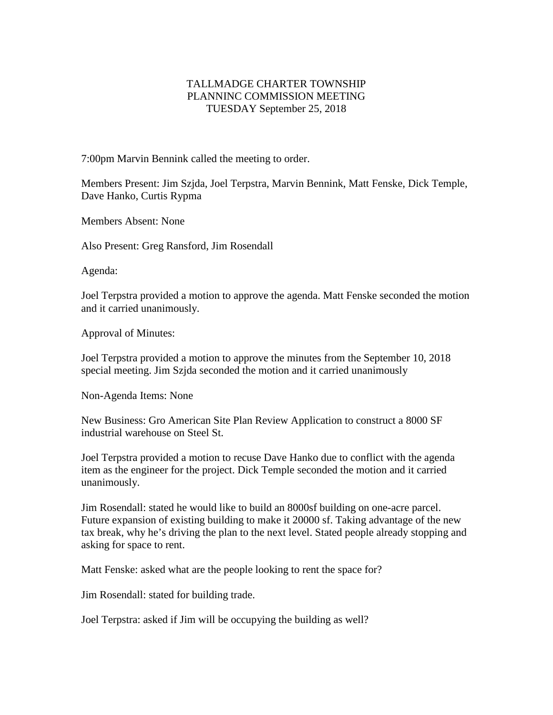## TALLMADGE CHARTER TOWNSHIP PLANNINC COMMISSION MEETING TUESDAY September 25, 2018

7:00pm Marvin Bennink called the meeting to order.

Members Present: Jim Szjda, Joel Terpstra, Marvin Bennink, Matt Fenske, Dick Temple, Dave Hanko, Curtis Rypma

Members Absent: None

Also Present: Greg Ransford, Jim Rosendall

Agenda:

Joel Terpstra provided a motion to approve the agenda. Matt Fenske seconded the motion and it carried unanimously.

Approval of Minutes:

Joel Terpstra provided a motion to approve the minutes from the September 10, 2018 special meeting. Jim Szjda seconded the motion and it carried unanimously

Non-Agenda Items: None

New Business: Gro American Site Plan Review Application to construct a 8000 SF industrial warehouse on Steel St.

Joel Terpstra provided a motion to recuse Dave Hanko due to conflict with the agenda item as the engineer for the project. Dick Temple seconded the motion and it carried unanimously.

Jim Rosendall: stated he would like to build an 8000sf building on one-acre parcel. Future expansion of existing building to make it 20000 sf. Taking advantage of the new tax break, why he's driving the plan to the next level. Stated people already stopping and asking for space to rent.

Matt Fenske: asked what are the people looking to rent the space for?

Jim Rosendall: stated for building trade.

Joel Terpstra: asked if Jim will be occupying the building as well?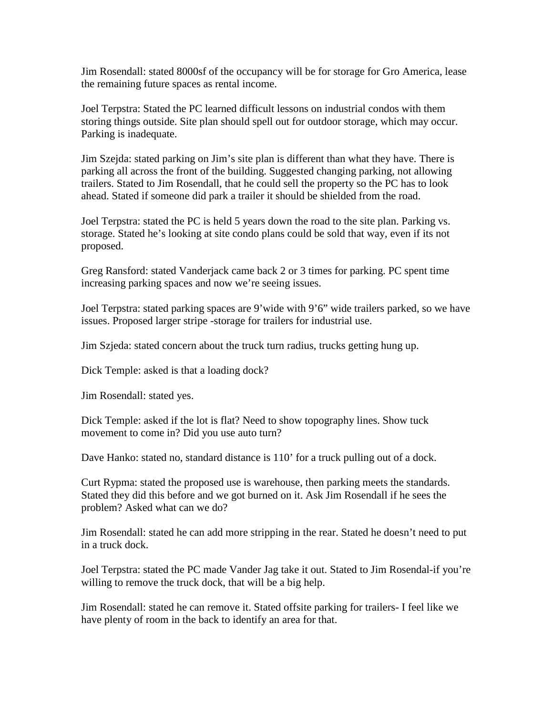Jim Rosendall: stated 8000sf of the occupancy will be for storage for Gro America, lease the remaining future spaces as rental income.

Joel Terpstra: Stated the PC learned difficult lessons on industrial condos with them storing things outside. Site plan should spell out for outdoor storage, which may occur. Parking is inadequate.

Jim Szejda: stated parking on Jim's site plan is different than what they have. There is parking all across the front of the building. Suggested changing parking, not allowing trailers. Stated to Jim Rosendall, that he could sell the property so the PC has to look ahead. Stated if someone did park a trailer it should be shielded from the road.

Joel Terpstra: stated the PC is held 5 years down the road to the site plan. Parking vs. storage. Stated he's looking at site condo plans could be sold that way, even if its not proposed.

Greg Ransford: stated Vanderjack came back 2 or 3 times for parking. PC spent time increasing parking spaces and now we're seeing issues.

Joel Terpstra: stated parking spaces are 9'wide with 9'6" wide trailers parked, so we have issues. Proposed larger stripe -storage for trailers for industrial use.

Jim Szjeda: stated concern about the truck turn radius, trucks getting hung up.

Dick Temple: asked is that a loading dock?

Jim Rosendall: stated yes.

Dick Temple: asked if the lot is flat? Need to show topography lines. Show tuck movement to come in? Did you use auto turn?

Dave Hanko: stated no, standard distance is 110' for a truck pulling out of a dock.

Curt Rypma: stated the proposed use is warehouse, then parking meets the standards. Stated they did this before and we got burned on it. Ask Jim Rosendall if he sees the problem? Asked what can we do?

Jim Rosendall: stated he can add more stripping in the rear. Stated he doesn't need to put in a truck dock.

Joel Terpstra: stated the PC made Vander Jag take it out. Stated to Jim Rosendal-if you're willing to remove the truck dock, that will be a big help.

Jim Rosendall: stated he can remove it. Stated offsite parking for trailers- I feel like we have plenty of room in the back to identify an area for that.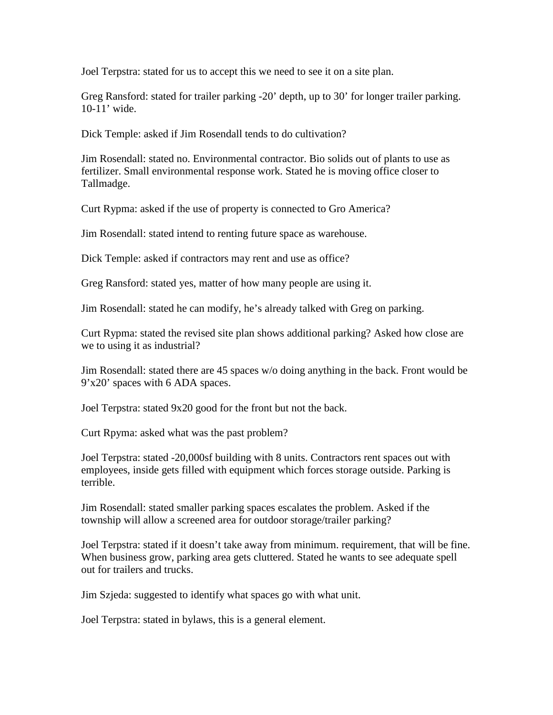Joel Terpstra: stated for us to accept this we need to see it on a site plan.

Greg Ransford: stated for trailer parking -20' depth, up to 30' for longer trailer parking. 10-11' wide.

Dick Temple: asked if Jim Rosendall tends to do cultivation?

Jim Rosendall: stated no. Environmental contractor. Bio solids out of plants to use as fertilizer. Small environmental response work. Stated he is moving office closer to Tallmadge.

Curt Rypma: asked if the use of property is connected to Gro America?

Jim Rosendall: stated intend to renting future space as warehouse.

Dick Temple: asked if contractors may rent and use as office?

Greg Ransford: stated yes, matter of how many people are using it.

Jim Rosendall: stated he can modify, he's already talked with Greg on parking.

Curt Rypma: stated the revised site plan shows additional parking? Asked how close are we to using it as industrial?

Jim Rosendall: stated there are 45 spaces w/o doing anything in the back. Front would be 9'x20' spaces with 6 ADA spaces.

Joel Terpstra: stated 9x20 good for the front but not the back.

Curt Rpyma: asked what was the past problem?

Joel Terpstra: stated -20,000sf building with 8 units. Contractors rent spaces out with employees, inside gets filled with equipment which forces storage outside. Parking is terrible.

Jim Rosendall: stated smaller parking spaces escalates the problem. Asked if the township will allow a screened area for outdoor storage/trailer parking?

Joel Terpstra: stated if it doesn't take away from minimum. requirement, that will be fine. When business grow, parking area gets cluttered. Stated he wants to see adequate spell out for trailers and trucks.

Jim Szjeda: suggested to identify what spaces go with what unit.

Joel Terpstra: stated in bylaws, this is a general element.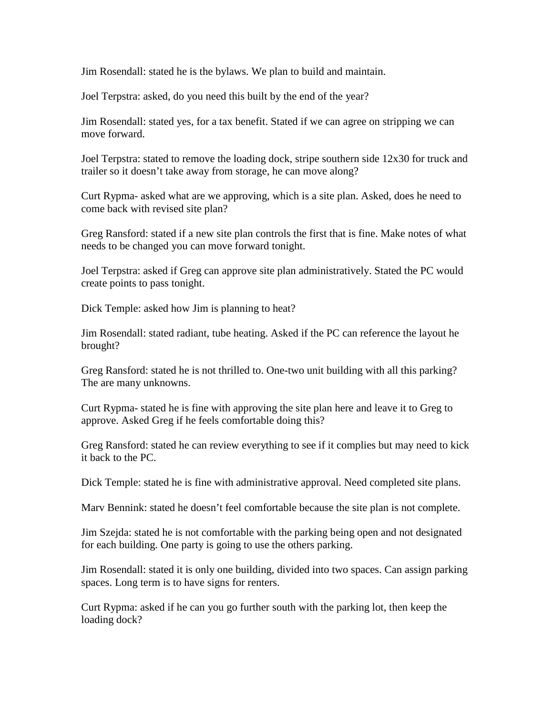Jim Rosendall: stated he is the bylaws. We plan to build and maintain.

Joel Terpstra: asked, do you need this built by the end of the year?

Jim Rosendall: stated yes, for a tax benefit. Stated if we can agree on stripping we can move forward.

Joel Terpstra: stated to remove the loading dock, stripe southern side 12x30 for truck and trailer so it doesn't take away from storage, he can move along?

Curt Rypma- asked what are we approving, which is a site plan. Asked, does he need to come back with revised site plan?

Greg Ransford: stated if a new site plan controls the first that is fine. Make notes of what needs to be changed you can move forward tonight.

Joel Terpstra: asked if Greg can approve site plan administratively. Stated the PC would create points to pass tonight.

Dick Temple: asked how Jim is planning to heat?

Jim Rosendall: stated radiant, tube heating. Asked if the PC can reference the layout he brought?

Greg Ransford: stated he is not thrilled to. One-two unit building with all this parking? The are many unknowns.

Curt Rypma- stated he is fine with approving the site plan here and leave it to Greg to approve. Asked Greg if he feels comfortable doing this?

Greg Ransford: stated he can review everything to see if it complies but may need to kick it back to the PC.

Dick Temple: stated he is fine with administrative approval. Need completed site plans.

Marv Bennink: stated he doesn't feel comfortable because the site plan is not complete.

Jim Szejda: stated he is not comfortable with the parking being open and not designated for each building. One party is going to use the others parking.

Jim Rosendall: stated it is only one building, divided into two spaces. Can assign parking spaces. Long term is to have signs for renters.

Curt Rypma: asked if he can you go further south with the parking lot, then keep the loading dock?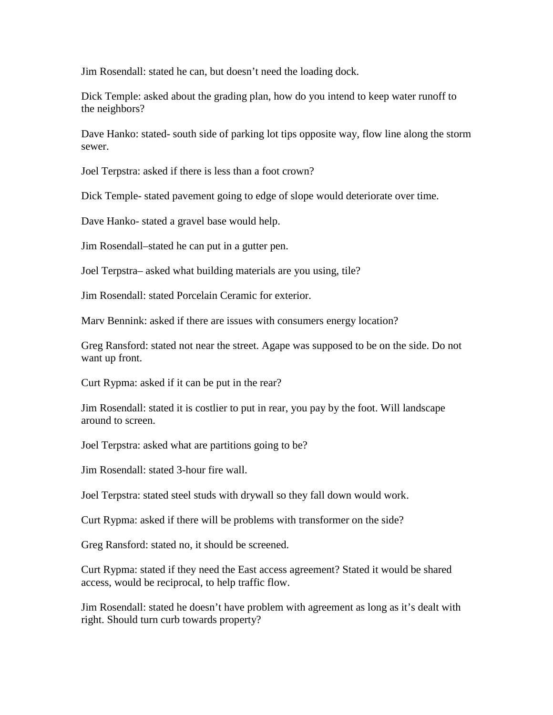Jim Rosendall: stated he can, but doesn't need the loading dock.

Dick Temple: asked about the grading plan, how do you intend to keep water runoff to the neighbors?

Dave Hanko: stated- south side of parking lot tips opposite way, flow line along the storm sewer.

Joel Terpstra: asked if there is less than a foot crown?

Dick Temple- stated pavement going to edge of slope would deteriorate over time.

Dave Hanko- stated a gravel base would help.

Jim Rosendall–stated he can put in a gutter pen.

Joel Terpstra– asked what building materials are you using, tile?

Jim Rosendall: stated Porcelain Ceramic for exterior.

Marv Bennink: asked if there are issues with consumers energy location?

Greg Ransford: stated not near the street. Agape was supposed to be on the side. Do not want up front.

Curt Rypma: asked if it can be put in the rear?

Jim Rosendall: stated it is costlier to put in rear, you pay by the foot. Will landscape around to screen.

Joel Terpstra: asked what are partitions going to be?

Jim Rosendall: stated 3-hour fire wall.

Joel Terpstra: stated steel studs with drywall so they fall down would work.

Curt Rypma: asked if there will be problems with transformer on the side?

Greg Ransford: stated no, it should be screened.

Curt Rypma: stated if they need the East access agreement? Stated it would be shared access, would be reciprocal, to help traffic flow.

Jim Rosendall: stated he doesn't have problem with agreement as long as it's dealt with right. Should turn curb towards property?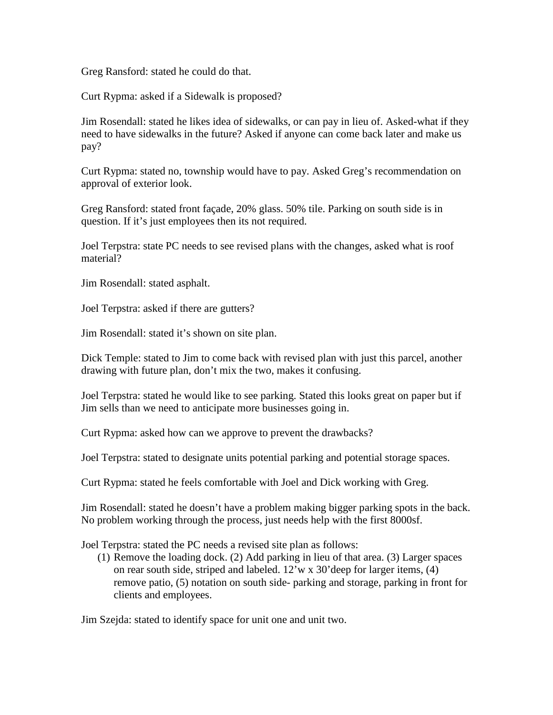Greg Ransford: stated he could do that.

Curt Rypma: asked if a Sidewalk is proposed?

Jim Rosendall: stated he likes idea of sidewalks, or can pay in lieu of. Asked-what if they need to have sidewalks in the future? Asked if anyone can come back later and make us pay?

Curt Rypma: stated no, township would have to pay. Asked Greg's recommendation on approval of exterior look.

Greg Ransford: stated front façade, 20% glass. 50% tile. Parking on south side is in question. If it's just employees then its not required.

Joel Terpstra: state PC needs to see revised plans with the changes, asked what is roof material?

Jim Rosendall: stated asphalt.

Joel Terpstra: asked if there are gutters?

Jim Rosendall: stated it's shown on site plan.

Dick Temple: stated to Jim to come back with revised plan with just this parcel, another drawing with future plan, don't mix the two, makes it confusing.

Joel Terpstra: stated he would like to see parking. Stated this looks great on paper but if Jim sells than we need to anticipate more businesses going in.

Curt Rypma: asked how can we approve to prevent the drawbacks?

Joel Terpstra: stated to designate units potential parking and potential storage spaces.

Curt Rypma: stated he feels comfortable with Joel and Dick working with Greg.

Jim Rosendall: stated he doesn't have a problem making bigger parking spots in the back. No problem working through the process, just needs help with the first 8000sf.

Joel Terpstra: stated the PC needs a revised site plan as follows:

(1) Remove the loading dock. (2) Add parking in lieu of that area. (3) Larger spaces on rear south side, striped and labeled. 12'w x 30'deep for larger items, (4) remove patio, (5) notation on south side- parking and storage, parking in front for clients and employees.

Jim Szejda: stated to identify space for unit one and unit two.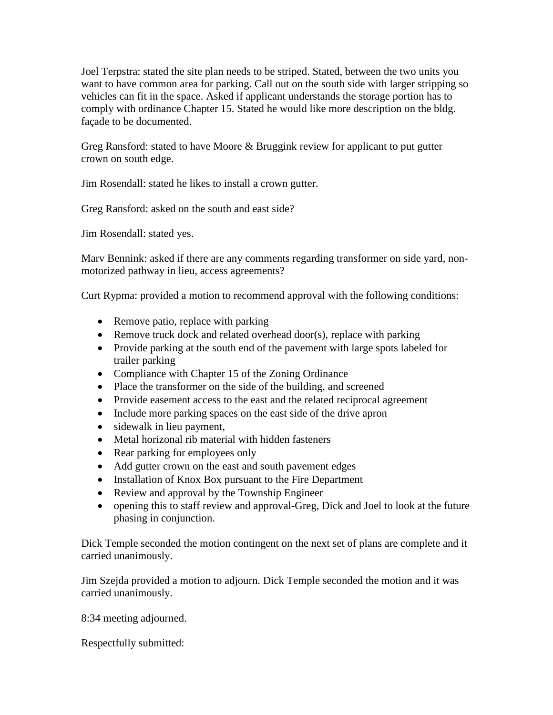Joel Terpstra: stated the site plan needs to be striped. Stated, between the two units you want to have common area for parking. Call out on the south side with larger stripping so vehicles can fit in the space. Asked if applicant understands the storage portion has to comply with ordinance Chapter 15. Stated he would like more description on the bldg. façade to be documented.

Greg Ransford: stated to have Moore & Bruggink review for applicant to put gutter crown on south edge.

Jim Rosendall: stated he likes to install a crown gutter.

Greg Ransford: asked on the south and east side?

Jim Rosendall: stated yes.

Marv Bennink: asked if there are any comments regarding transformer on side yard, nonmotorized pathway in lieu, access agreements?

Curt Rypma: provided a motion to recommend approval with the following conditions:

- Remove patio, replace with parking
- Remove truck dock and related overhead door(s), replace with parking
- Provide parking at the south end of the pavement with large spots labeled for trailer parking
- Compliance with Chapter 15 of the Zoning Ordinance
- Place the transformer on the side of the building, and screened
- Provide easement access to the east and the related reciprocal agreement
- Include more parking spaces on the east side of the drive apron
- sidewalk in lieu payment,
- Metal horizonal rib material with hidden fasteners
- Rear parking for employees only
- Add gutter crown on the east and south pavement edges
- Installation of Knox Box pursuant to the Fire Department
- Review and approval by the Township Engineer
- opening this to staff review and approval-Greg, Dick and Joel to look at the future phasing in conjunction.

Dick Temple seconded the motion contingent on the next set of plans are complete and it carried unanimously.

Jim Szejda provided a motion to adjourn. Dick Temple seconded the motion and it was carried unanimously.

8:34 meeting adjourned.

Respectfully submitted: